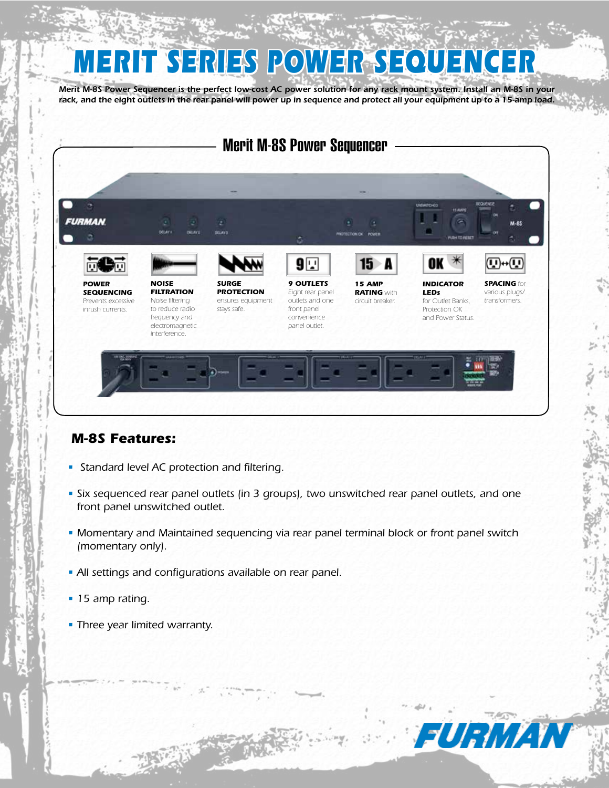# *MERIT SERIES POWER SEQUENCER*

*Merit M-8S Power Sequencer is the perfect low-cost AC power solution for any rack mount system. Install an M-8S in your*  rack, and the eight outlets in the rear panel will power up in sequence and protect all your equipment up to a 15-amp load.



## *M-8S Features:*

- *Standard level AC protection and filtering.*
- *• Six sequenced rear panel outlets (in 3 groups), two unswitched rear panel outlets, and one front panel unswitched outlet.*
- *Momentary and Maintained sequencing via rear panel terminal block or front panel switch (momentary only).*
- *All settings and configurations available on rear panel.*
- *15 amp rating.*
- *Three year limited warranty.*